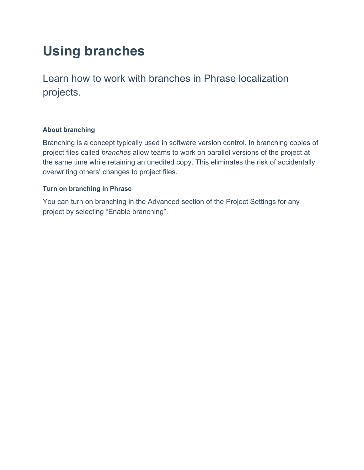# **Using branches**

Learn how to work with branches in Phrase localization projects.

## **About branching**

Branching is a concept typically used in software version control. In branching copies of project files called *branches* allow teams to work on parallel versions of the project at the same time while retaining an unedited copy. This eliminates the risk of accidentally overwriting others' changes to project files.

## **Turn on branching in Phrase**

You can turn on branching in the Advanced section of the Project Settings for any project by selecting "Enable branching".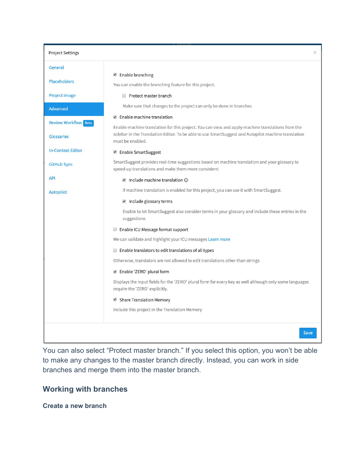| <b>Project Settings</b>                          |                                                                                                                                                                                                                              | $\times$ |
|--------------------------------------------------|------------------------------------------------------------------------------------------------------------------------------------------------------------------------------------------------------------------------------|----------|
| General                                          |                                                                                                                                                                                                                              |          |
| <b>Placeholders</b>                              | ■ Enable branching                                                                                                                                                                                                           |          |
|                                                  | You can enable the branching feature for this project.                                                                                                                                                                       |          |
| <b>Project image</b>                             | Protect master branch                                                                                                                                                                                                        |          |
| <b>Advanced</b>                                  | Make sure that changes to the project can only be done in branches                                                                                                                                                           |          |
|                                                  | ■ Enable machine translation                                                                                                                                                                                                 |          |
| <b>Review Workflow</b> Beta<br><b>Glossaries</b> | Enable machine translation for this project. You can view and apply machine translations from the<br>sidebar in the Translation Editor. To be able to use SmartSuggest and Autopilot machine translation<br>must be enabled. |          |
| In-Context-Editor                                | ■ Enable SmartSuggest                                                                                                                                                                                                        |          |
| <b>GitHub Sync</b>                               | SmartSuggest provides real-time suggestions based on machine translation and your glossary to<br>speed-up translations and make them more consistent                                                                         |          |
| <b>API</b>                                       | $\blacksquare$ Include machine translation $\odot$                                                                                                                                                                           |          |
| <b>Autopilot</b>                                 | If machine translation is enabled for this project, you can use it with SmartSuggest.                                                                                                                                        |          |
|                                                  | $\blacksquare$ Include glossary terms                                                                                                                                                                                        |          |
|                                                  | Enable to let SmartSuggest also consider terms in your glossary and include these entries in the<br>suggestions                                                                                                              |          |
|                                                  | <b>Enable ICU Message format support</b>                                                                                                                                                                                     |          |
|                                                  | We can validate and highlight your ICU messages Learn more                                                                                                                                                                   |          |
|                                                  | $\Box$ Enable translators to edit translations of all types                                                                                                                                                                  |          |
|                                                  | Otherwise, translators are not allowed to edit translations other than strings                                                                                                                                               |          |
|                                                  | ■ Enable 'ZERO' plural form                                                                                                                                                                                                  |          |
|                                                  | Displays the input fields for the 'ZERO' plural form for every key as well although only some languages<br>require the 'ZERO' explicitly.                                                                                    |          |
|                                                  | Share Translation Memory                                                                                                                                                                                                     |          |
|                                                  | Include this project in the Translation Memory                                                                                                                                                                               |          |
|                                                  |                                                                                                                                                                                                                              | Save     |

You can also select "Protect master branch*.*" If you select this option, you won't be able to make any changes to the master branch directly. Instead, you can work in side branches and merge them into the master branch.

# **Working with branches**

**Create a new branch**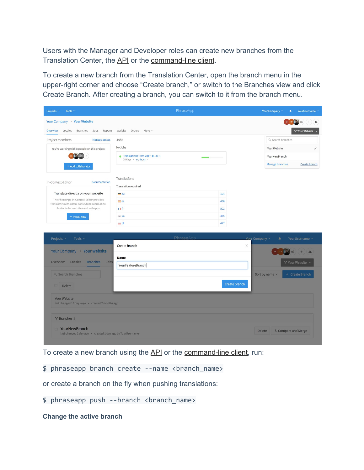Users with the Manager and Developer roles can create new branches from the Translation Center, the [API](https://developers.phrase.com/api/#branches) or the [command-line client.](https://help.phrase.com/help/phrase-in-your-terminal)

To create a new branch from the Translation Center, open the branch menu in the upper-right corner and choose "Create branch," or switch to the Branches view and click Create Branch. After creating a branch, you can switch to it from the branch menu.

| Projects ~<br>Tools $\sim$                                                                  | PhraseApp                                                |                | Your Company ~<br>YourUsername ~<br>٠ |
|---------------------------------------------------------------------------------------------|----------------------------------------------------------|----------------|---------------------------------------|
| Your Company > Your Website                                                                 |                                                          |                | $^+$<br>$+6$<br>$\frac{24}{24}$       |
| Overview<br>Locales<br>Branches<br>Jobs<br>Reports                                          | Activity Orders More ~                                   |                | Y' Your Website v                     |
| Project members<br>Manage access                                                            | Jobs                                                     |                | Q Search branches                     |
| You're working with 8 people on this project:                                               | My Jobs                                                  |                | Your Website<br>$\checkmark$          |
|                                                                                             | Translations from 2017-11-30-1<br>20 Keys · en, de, es · |                | YourNewBranch                         |
| + Add collaborator                                                                          |                                                          |                | Manage branches<br>Create branch      |
| In-Context-Editor<br>Documentation                                                          | Translations<br>Translation required                     |                |                                       |
| Translate directly on your website                                                          | $=$ de                                                   | 104            |                                       |
| The PhraseApp In-Context-Editor provides<br>translators with useful contextual information. | $\equiv$ es                                              | 456            |                                       |
| Available for websites and webapps.                                                         | <b>II</b> If<br>:»: ko                                   | 502<br>475     |                                       |
| + Install now                                                                               | $=$ pl                                                   | 477            |                                       |
|                                                                                             |                                                          |                |                                       |
| Projects v<br>Tools $\sim$                                                                  | PhraseApp                                                | Your Company v | YourUsername ~<br>査                   |
| Your Company > Your Website                                                                 | Create branch                                            | X              | $+6$<br>$rac{1}{n}$                   |
|                                                                                             | Name                                                     |                |                                       |
| Overview<br>Locales<br><b>Branches</b><br>Jobs                                              | YourFeatureBranch                                        |                | 5" Your Website                       |
| Q Search Branches                                                                           |                                                          |                | + Create Branch<br>Sort by name v     |
| $\Box$<br>Delete                                                                            |                                                          | Create branch  |                                       |
| <b>Your Website</b><br>last changed 13 days ago · created 2 months ago                      |                                                          |                |                                       |
| Y' Branches 1                                                                               |                                                          |                |                                       |
| YourNewBranch<br>$\Box$<br>last changed 1 day ago · created 1 day ago by YourUsername       |                                                          |                | た Compare and Merge<br><b>Delete</b>  |

To create a new branch using the [API](https://developers.phraseapp.com/api/#branches) or the [command-line client,](https://help.phrase.com/help/phrase-in-your-terminal) run:

\$ phraseapp branch create --name <branch\_name>

or create a branch on the fly when pushing translations:

\$ phraseapp push --branch <branch\_name>

**Change the active branch**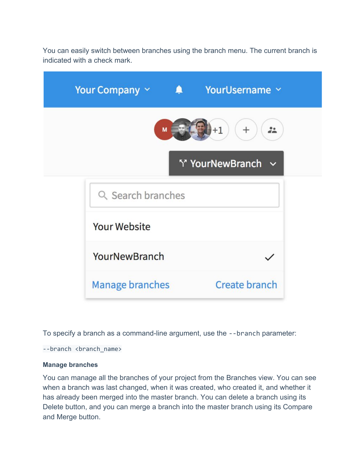You can easily switch between branches using the branch menu. The current branch is indicated with a check mark.

| Your Company $\vee$    | $\blacksquare$ | YourUsername Y                  |
|------------------------|----------------|---------------------------------|
|                        | M              | $+1$<br>$^{+}$<br>$\frac{1}{2}$ |
|                        |                | Y' YourNewBranch ~              |
| Q Search branches      |                |                                 |
| <b>Your Website</b>    |                |                                 |
| YourNewBranch          |                |                                 |
| <b>Manage branches</b> |                | Create branch                   |

To specify a branch as a command-line argument, use the --branch parameter:

--branch <br />branch\_name>

#### **Manage branches**

You can manage all the branches of your project from the Branches view. You can see when a branch was last changed, when it was created, who created it, and whether it has already been merged into the master branch. You can delete a branch using its Delete button, and you can merge a branch into the master branch using its Compare and Merge button.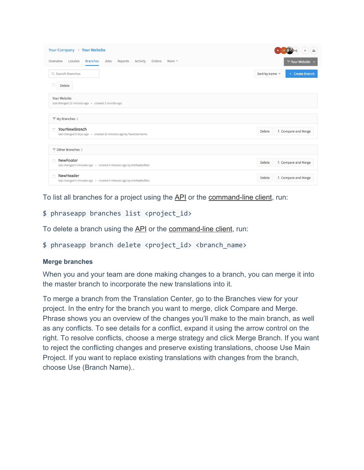| Your Company > Your Website                                                                |                               | $\frac{2}{n}$         |
|--------------------------------------------------------------------------------------------|-------------------------------|-----------------------|
| <b>Branches</b><br>Activity<br>Overview<br>Locales<br>Jobs<br>Reports<br>Orders<br>More v  |                               | ↑ Your Website $\vee$ |
| Q Search Branches                                                                          | Sort by name $\sim$           | + Create Branch       |
| <b>Delete</b>                                                                              |                               |                       |
| Your Website<br>last changed 22 minutes ago · created 2 months ago                         |                               |                       |
| Y' My Branches 1                                                                           |                               |                       |
| YourNewBranch<br>n<br>last changed 2 days ago · created 22 minutes ago by YourUsername     | Delete                        | た Compare and Merge   |
| <sup>1</sup> Other Branches 2                                                              |                               |                       |
| NewFooter<br>$\Box$<br>last changed 4 minutes ago · created 4 minutes ago by michaelschloz | た Compare and Merge<br>Delete |                       |
| NewHeader<br>n<br>last changed 4 minutes ago · created 4 minutes ago by michaelschloz      | Delete                        | た Compare and Merge   |

To list all branches for a project using the [API](https://developers.phrase.com/api/#branches) or the [command-line client,](https://help.phrase.com/help/phrase-in-your-terminal) run:

# \$ phraseapp branches list <project\_id>

To delete a branch using the [API](https://developers.phrase.com/api/#branches) or the [command-line client,](https://help.phrase.com/help/phrase-in-your-terminal) run:

\$ phraseapp branch delete <project id> <br/> <br/> <br/>ame>

#### **Merge branches**

When you and your team are done making changes to a branch, you can merge it into the master branch to incorporate the new translations into it.

To merge a branch from the Translation Center, go to the Branches view for your project. In the entry for the branch you want to merge, click Compare and Merge. Phrase shows you an overview of the changes you'll make to the main branch, as well as any conflicts. To see details for a conflict, expand it using the arrow control on the right. To resolve conflicts, choose a merge strategy and click Merge Branch. If you want to reject the conflicting changes and preserve existing translations, choose Use Main Project. If you want to replace existing translations with changes from the branch, choose Use (Branch Name)..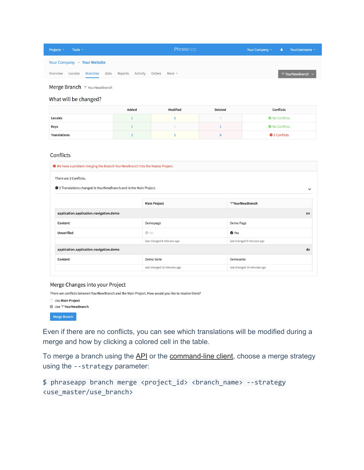| Projects $\sim$ | Tools $\sim$ |                                                      |  |  | PhraseApp | Your Company $\times$ $\bullet$ Your Username $\times$ |                    |
|-----------------|--------------|------------------------------------------------------|--|--|-----------|--------------------------------------------------------|--------------------|
|                 |              | Your Company > Your Website                          |  |  |           |                                                        |                    |
| Overview        |              | Locales Branches Jobs Reports Activity Orders More v |  |  |           |                                                        | Y' YourNewBranch ~ |

Merge Branch Y YourNewBranch

#### What will be changed?

|                     | Added | <b>Modified</b> | <b>Deleted</b> | <b>Conflicts</b>     |
|---------------------|-------|-----------------|----------------|----------------------|
| Locales             |       |                 |                | No Conflicts         |
| Keys                |       |                 |                | No Conflicts         |
| <b>Translations</b> |       |                 |                | <b>O</b> 2 Conflicts |

#### Conflicts

|                                                                           | <b>O</b> We have a problem merging the Branch YourNewBranch into the Master Project. |                             |              |  |
|---------------------------------------------------------------------------|--------------------------------------------------------------------------------------|-----------------------------|--------------|--|
| There are 2 Conflicts.                                                    |                                                                                      |                             |              |  |
| <b>O</b> 2 Translations changed in YourNewBranch and in the Main Project. |                                                                                      |                             | $\checkmark$ |  |
|                                                                           | <b>Main Project</b>                                                                  | <sup>1</sup> YourNewBranch  |              |  |
| application.application.navigation.demo                                   |                                                                                      |                             |              |  |
| Content                                                                   | Demopage                                                                             | Demo Page                   |              |  |
| <b>Unverified</b>                                                         | © No                                                                                 | <b>⊘</b> Yes                |              |  |
|                                                                           | last changed 8 minutes ago                                                           | last changed 9 minutes ago  |              |  |
| application.application.navigation.demo                                   |                                                                                      |                             |              |  |
| Content                                                                   | Demo Seite                                                                           | Demoseite                   |              |  |
|                                                                           | last changed 10 minutes ago                                                          | last changed 10 minutes ago |              |  |

#### Merge Changes into your Project

There are conflicts between YourNewBranch and the Main Project. How would you like to resolve them?

| <b>Use Main Project</b> |
|-------------------------|
| Use Y'YourNewBranch     |
| <b>Merge Branch</b>     |

Even if there are no conflicts, you can see which translations will be modified during a merge and how by clicking a colored cell in the table.

To merge a branch using the [API](https://developers.phrase.com/api/#branches) or the [command-line client](https://help.phrase.com/help/phrase-in-your-terminal), choose a merge strategy using the --strategy parameter:

```
$ phraseapp branch merge <project_id> <branch_name> --strategy
<use_master/use_branch>
```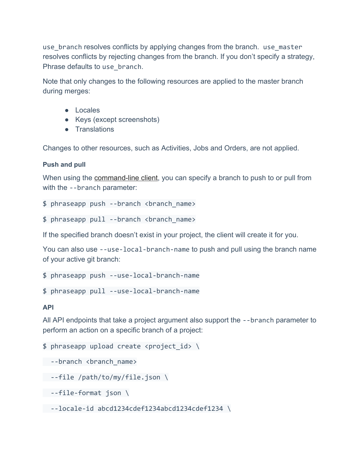use\_branch resolves conflicts by applying changes from the branch. use\_master resolves conflicts by rejecting changes from the branch. If you don't specify a strategy, Phrase defaults to use branch.

Note that only changes to the following resources are applied to the master branch during merges:

- Locales
- Keys (except screenshots)
- Translations

Changes to other resources, such as Activities, Jobs and Orders, are not applied.

## **Push and pull**

When using the [command-line client,](https://help.phrase.com/help/phrase-in-your-terminal) you can specify a branch to push to or pull from with the --branch parameter:

\$ phraseapp push --branch <branch\_name>

 $$ phraseapp pull --branch *channel* name$ 

If the specified branch doesn't exist in your project, the client will create it for you.

You can also use --use-local-branch-name to push and pull using the branch name of your active git branch:

\$ phraseapp push --use-local-branch-name

\$ phraseapp pull --use-local-branch-name

#### **API**

All API endpoints that take a project argument also support the --branch parameter to perform an action on a specific branch of a project:

\$ phraseapp upload create <project\_id> \

- --branch <branch name>
- --file /path/to/my/file.json \
- --file-format json \

--locale-id abcd1234cdef1234abcd1234cdef1234 \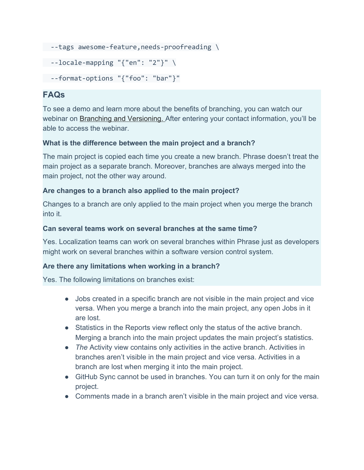```
 --tags awesome-feature,needs-proofreading \
 --locale-mapping "{"en": "2"}" \
 --format-options "{"foo": "bar"}"
```
# **FAQs**

To see a demo and learn more about the benefits of branching, you can watch our webinar on [Branching and Versioning.](https://phrase.com/lp/webinars/) After entering your contact information, you'll be able to access the webinar.

# **What is the difference between the main project and a branch?**

The main project is copied each time you create a new branch. Phrase doesn't treat the main project as a separate branch. Moreover, branches are always merged into the main project, not the other way around.

# **Are changes to a branch also applied to the main project?**

Changes to a branch are only applied to the main project when you merge the branch into it.

# **Can several teams work on several branches at the same time?**

Yes. Localization teams can work on several branches within Phrase just as developers might work on several branches within a software version control system.

# **Are there any limitations when working in a branch?**

Yes. The following limitations on branches exist:

- Jobs created in a specific branch are not visible in the main project and vice versa. When you merge a branch into the main project, any open Jobs in it are lost.
- Statistics in the Reports view reflect only the status of the active branch. Merging a branch into the main project updates the main project's statistics.
- *The* Activity view contains only activities in the active branch. Activities in branches aren't visible in the main project and vice versa. Activities in a branch are lost when merging it into the main project.
- GitHub Sync cannot be used in branches. You can turn it on only for the main project.
- Comments made in a branch aren't visible in the main project and vice versa.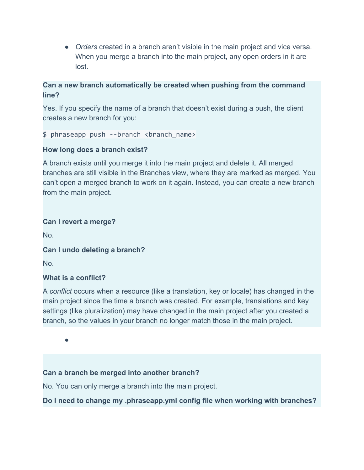● *Orders* created in a branch aren't visible in the main project and vice versa. When you merge a branch into the main project, any open orders in it are lost.

# **Can a new branch automatically be created when pushing from the command line?**

Yes. If you specify the name of a branch that doesn't exist during a push, the client creates a new branch for you:

\$ phraseapp push --branch <br anch name>

# **How long does a branch exist?**

A branch exists until you merge it into the main project and delete it. All merged branches are still visible in the Branches view, where they are marked as merged. You can't open a merged branch to work on it again. Instead, you can create a new branch from the main project.

# **Can I revert a merge?**

No.

# **Can I undo deleting a branch?**

No.

# **What is a conflict?**

A *conflict* occurs when a resource (like a translation, key or locale) has changed in the main project since the time a branch was created. For example, translations and key settings (like pluralization) may have changed in the main project after you created a branch, so the values in your branch no longer match those in the main project.

●

# **Can a branch be merged into another branch?**

No. You can only merge a branch into the main project.

# **Do I need to change my .phraseapp.yml config file when working with branches?**